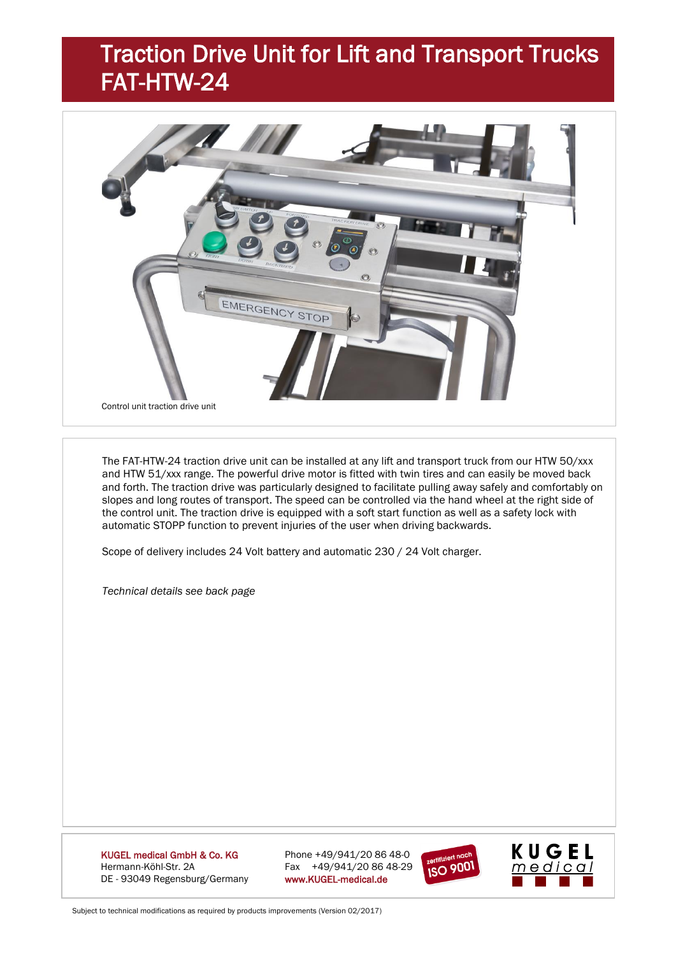# Traction Drive Unit for Lift and Transport Trucks FAT-HTW-24



The FAT-HTW-24 traction drive unit can be installed at any lift and transport truck from our HTW 50/xxx and HTW 51/xxx range. The powerful drive motor is fitted with twin tires and can easily be moved back and forth. The traction drive was particularly designed to facilitate pulling away safely and comfortably on slopes and long routes of transport. The speed can be controlled via the hand wheel at the right side of the control unit. The traction drive is equipped with a soft start function as well as a safety lock with automatic STOPP function to prevent injuries of the user when driving backwards.

Scope of delivery includes 24 Volt battery and automatic 230 / 24 Volt charger.

*Technical details see back page*

KUGEL medical GmbH & Co. KG Phone +49/941/20 86 48-0 Hermann-Köhl-Str. 2A Fax +49/941/20 86 48-29 DE - 93049 Regensburg/Germany www.KUGEL-medical.de